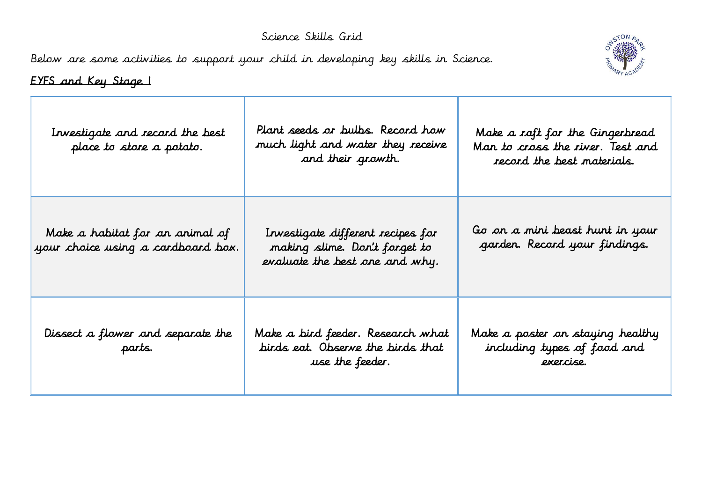## Science Skills Grid

Below are some activities to support your child in developing key skills in Science.



## EYFS and Key Stage 1

| Investigate and record the best<br>place to store a potato.           | Plant seeds or bulbs. Record how<br>much light and water they receive<br>and their growth.           | Make a raft for the Gingerbread<br>Man to cross the river. Test and<br>record the best materials. |
|-----------------------------------------------------------------------|------------------------------------------------------------------------------------------------------|---------------------------------------------------------------------------------------------------|
| Make a habitat for an animal of<br>your choice using a cardboard box. | Investigate different recipes for<br>making slime. Don't forget to<br>evaluate the best one and why. | Go on a mini beast hunt in your<br>garden. Record your findings.                                  |
| Dissect a flower and separate the<br>parts.                           | Make a bird feeder. Research what<br>birds eat. Observe the birds that<br>use the feeder.            | Make a poster on staying healthy<br>including types of food and<br>exercise.                      |